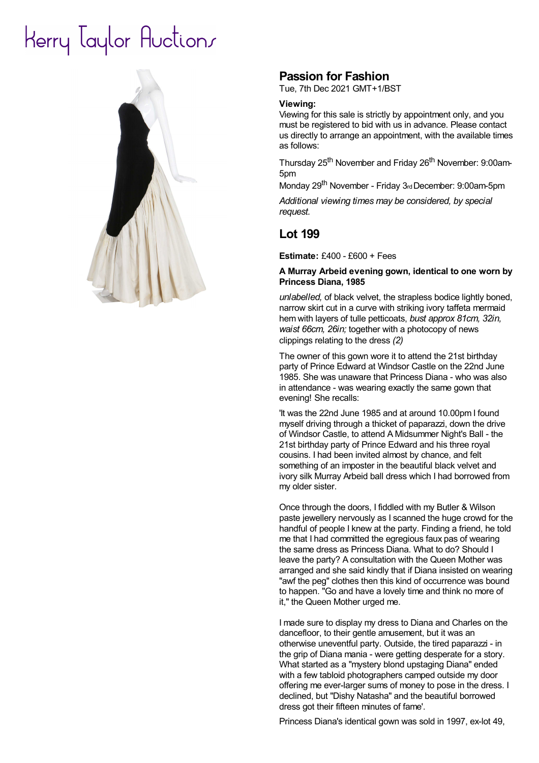# Herry laylor Huctions



## **Passion for Fashion**

Tue, 7th Dec 2021 GMT+1/BST

#### **Viewing:**

Viewing for this sale is strictly by appointment only, and you must be registered to bid with us in advance. Please contact us directly to arrange an appointment, with the available times as follows:

Thursday 25<sup>th</sup> November and Friday 26<sup>th</sup> November: 9:00am-5pm

Monday 29<sup>th</sup> November - Friday 3<sub>rd</sub> December: 9:00am-5pm

*Additional viewing times may be considered, by special request.*

### **Lot 199**

**Estimate:** £400 - £600 + Fees

#### **A Murray Arbeid evening gown, identical to one worn by Princess Diana, 1985**

*unlabelled,* of black velvet, the strapless bodice lightly boned, narrow skirt cut in a curve with striking ivory taffeta mermaid hem with layers of tulle petticoats, *bust approx 81cm, 32in, waist 66cm, 26in;* together with a photocopy of news clippings relating to the dress *(2)*

The owner of this gown wore it to attend the 21st birthday party of Prince Edward at Windsor Castle on the 22nd June 1985. She was unaware that Princess Diana - who was also in attendance - was wearing exactly the same gown that evening! She recalls:

'It was the 22nd June 1985 and at around 10.00pm Ifound myself driving through a thicket of paparazzi, down the drive of Windsor Castle, to attend A Midsummer Night's Ball - the 21st birthday party of Prince Edward and his three royal cousins. I had been invited almost by chance, and felt something of an imposter in the beautiful black velvet and ivory silk Murray Arbeid ball dress which I had borrowed from my older sister.

Once through the doors, I fiddled with my Butler & Wilson paste jewellery nervously as I scanned the huge crowd for the handful of people I knew at the party. Finding a friend, he told me that I had committed the egregious faux pas of wearing the same dress as Princess Diana. What to do? Should I leave the party? A consultation with the Queen Mother was arranged and she said kindly that if Diana insisted on wearing "awf the peg" clothes then this kind of occurrence was bound to happen. "Go and have a lovely time and think no more of it," the Queen Mother urged me.

I made sure to display my dress to Diana and Charles on the dancefloor, to their gentle amusement, but it was an otherwise uneventful party. Outside, the tired paparazzi - in the grip of Diana mania - were getting desperate for a story. What started as a "mystery blond upstaging Diana" ended with a few tabloid photographers camped outside my door offering me ever-larger sums of money to pose in the dress. I declined, but "Dishy Natasha" and the beautiful borrowed dress got their fifteen minutes of fame'.

Princess Diana's identical gown was sold in 1997, ex-lot 49,